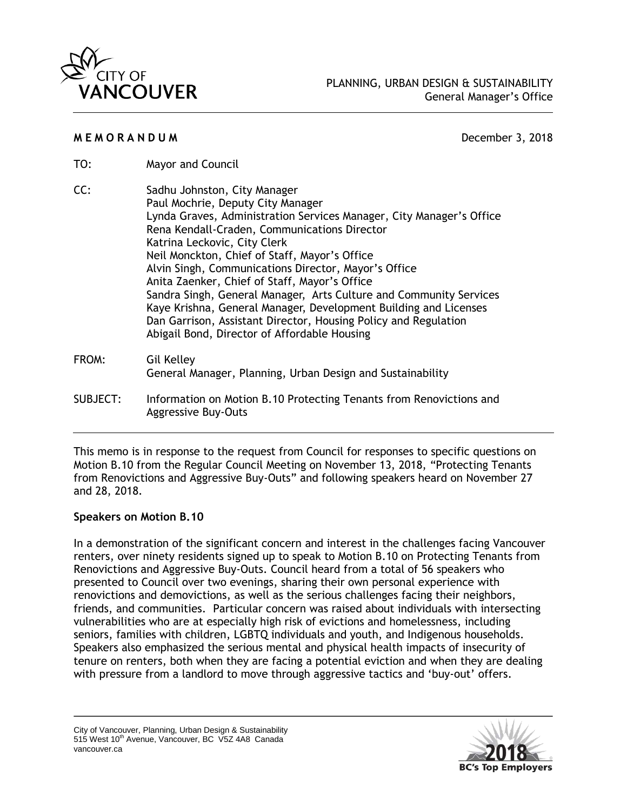

### **M E M O R A N D U M** December 3, 2018

- TO: Mayor and Council
- CC: Sadhu Johnston, City Manager Paul Mochrie, Deputy City Manager Lynda Graves, Administration Services Manager, City Manager's Office Rena Kendall-Craden, Communications Director Katrina Leckovic, City Clerk Neil Monckton, Chief of Staff, Mayor's Office Alvin Singh, Communications Director, Mayor's Office Anita Zaenker, Chief of Staff, Mayor's Office Sandra Singh, General Manager, Arts Culture and Community Services Kaye Krishna, General Manager, Development Building and Licenses Dan Garrison, Assistant Director, Housing Policy and Regulation Abigail Bond, Director of Affordable Housing FROM: Gil Kelley General Manager, Planning, Urban Design and Sustainability SUBJECT: Information on Motion B.10 Protecting Tenants from Renovictions and Aggressive Buy-Outs

This memo is in response to the request from Council for responses to specific questions on Motion B.10 from the Regular Council Meeting on November 13, 2018, "Protecting Tenants from Renovictions and Aggressive Buy-Outs" and following speakers heard on November 27 and 28, 2018.

## **Speakers on Motion B.10**

In a demonstration of the significant concern and interest in the challenges facing Vancouver renters, over ninety residents signed up to speak to Motion B.10 on Protecting Tenants from Renovictions and Aggressive Buy-Outs. Council heard from a total of 56 speakers who presented to Council over two evenings, sharing their own personal experience with renovictions and demovictions, as well as the serious challenges facing their neighbors, friends, and communities. Particular concern was raised about individuals with intersecting vulnerabilities who are at especially high risk of evictions and homelessness, including seniors, families with children, LGBTQ individuals and youth, and Indigenous households. Speakers also emphasized the serious mental and physical health impacts of insecurity of tenure on renters, both when they are facing a potential eviction and when they are dealing with pressure from a landlord to move through aggressive tactics and 'buy-out' offers.

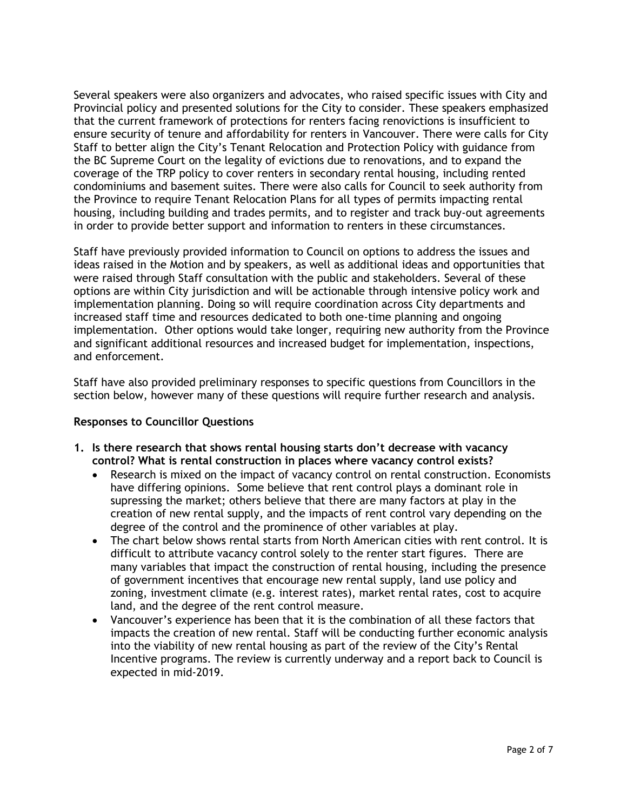Several speakers were also organizers and advocates, who raised specific issues with City and Provincial policy and presented solutions for the City to consider. These speakers emphasized that the current framework of protections for renters facing renovictions is insufficient to ensure security of tenure and affordability for renters in Vancouver. There were calls for City Staff to better align the City's Tenant Relocation and Protection Policy with guidance from the BC Supreme Court on the legality of evictions due to renovations, and to expand the coverage of the TRP policy to cover renters in secondary rental housing, including rented condominiums and basement suites. There were also calls for Council to seek authority from the Province to require Tenant Relocation Plans for all types of permits impacting rental housing, including building and trades permits, and to register and track buy-out agreements in order to provide better support and information to renters in these circumstances.

Staff have previously provided information to Council on options to address the issues and ideas raised in the Motion and by speakers, as well as additional ideas and opportunities that were raised through Staff consultation with the public and stakeholders. Several of these options are within City jurisdiction and will be actionable through intensive policy work and implementation planning. Doing so will require coordination across City departments and increased staff time and resources dedicated to both one-time planning and ongoing implementation. Other options would take longer, requiring new authority from the Province and significant additional resources and increased budget for implementation, inspections, and enforcement.

Staff have also provided preliminary responses to specific questions from Councillors in the section below, however many of these questions will require further research and analysis.

## **Responses to Councillor Questions**

- **1. Is there research that shows rental housing starts don't decrease with vacancy control? What is rental construction in places where vacancy control exists?** 
	- Research is mixed on the impact of vacancy control on rental construction. Economists have differing opinions. Some believe that rent control plays a dominant role in supressing the market; others believe that there are many factors at play in the creation of new rental supply, and the impacts of rent control vary depending on the degree of the control and the prominence of other variables at play.
	- The chart below shows rental starts from North American cities with rent control. It is difficult to attribute vacancy control solely to the renter start figures. There are many variables that impact the construction of rental housing, including the presence of government incentives that encourage new rental supply, land use policy and zoning, investment climate (e.g. interest rates), market rental rates, cost to acquire land, and the degree of the rent control measure.
	- Vancouver's experience has been that it is the combination of all these factors that impacts the creation of new rental. Staff will be conducting further economic analysis into the viability of new rental housing as part of the review of the City's Rental Incentive programs. The review is currently underway and a report back to Council is expected in mid-2019.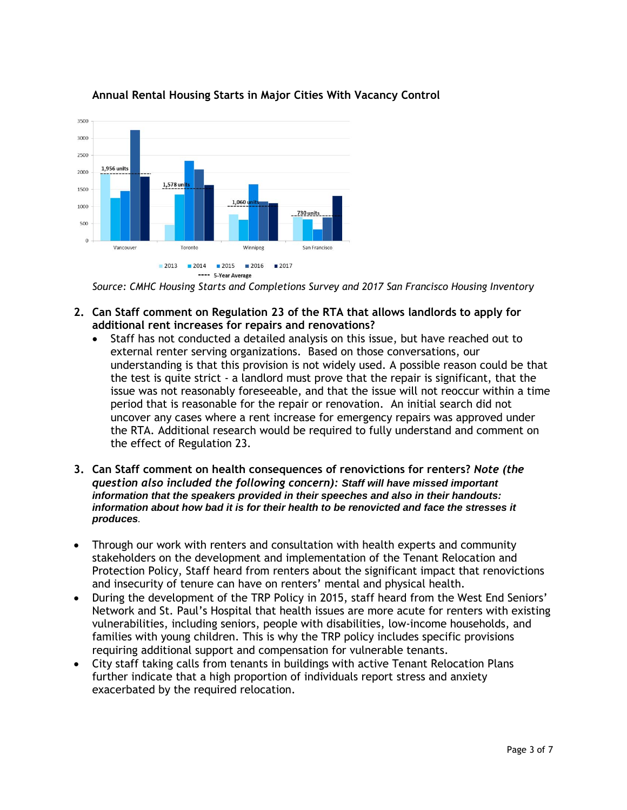

# **Annual Rental Housing Starts in Major Cities With Vacancy Control**

- **2. Can Staff comment on Regulation 23 of the RTA that allows landlords to apply for additional rent increases for repairs and renovations?** 
	- Staff has not conducted a detailed analysis on this issue, but have reached out to external renter serving organizations. Based on those conversations, our understanding is that this provision is not widely used. A possible reason could be that the test is quite strict - a landlord must prove that the repair is significant, that the issue was not reasonably foreseeable, and that the issue will not reoccur within a time period that is reasonable for the repair or renovation. An initial search did not uncover any cases where a rent increase for emergency repairs was approved under the RTA. Additional research would be required to fully understand and comment on the effect of Regulation 23.
- **3. Can Staff comment on health consequences of renovictions for renters?** *Note (the question also included the following concern): Staff will have missed important information that the speakers provided in their speeches and also in their handouts: information about how bad it is for their health to be renovicted and face the stresses it produces.*
- Through our work with renters and consultation with health experts and community stakeholders on the development and implementation of the Tenant Relocation and Protection Policy, Staff heard from renters about the significant impact that renovictions and insecurity of tenure can have on renters' mental and physical health.
- During the development of the TRP Policy in 2015, staff heard from the West End Seniors' Network and St. Paul's Hospital that health issues are more acute for renters with existing vulnerabilities, including seniors, people with disabilities, low-income households, and families with young children. This is why the TRP policy includes specific provisions requiring additional support and compensation for vulnerable tenants.
- City staff taking calls from tenants in buildings with active Tenant Relocation Plans further indicate that a high proportion of individuals report stress and anxiety exacerbated by the required relocation.

*Source: CMHC Housing Starts and Completions Survey and 2017 San Francisco Housing Inventory*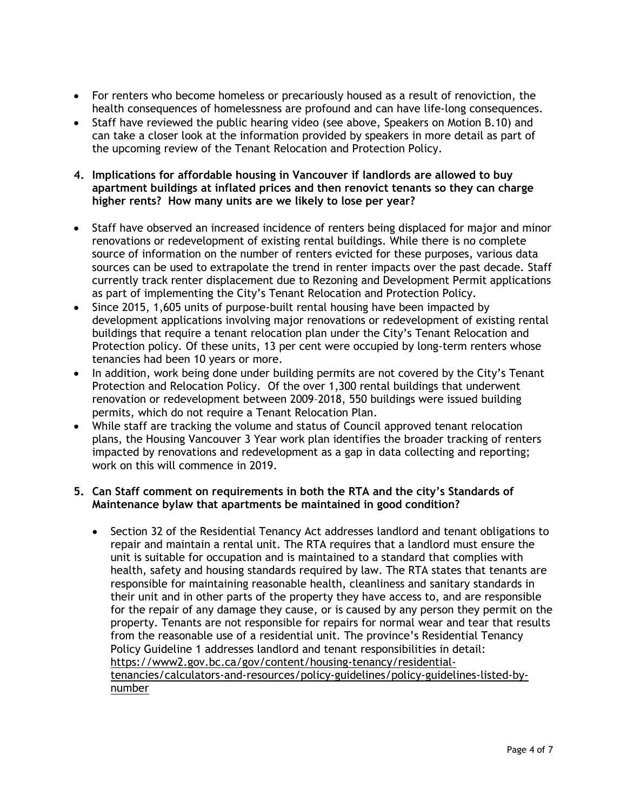- For renters who become homeless or precariously housed as a result of renoviction, the health consequences of homelessness are profound and can have life-long consequences.
- Staff have reviewed the public hearing video (see above, Speakers on Motion B.10) and can take a closer look at the information provided by speakers in more detail as part of the upcoming review of the Tenant Relocation and Protection Policy.
- **4. Implications for affordable housing in Vancouver if landlords are allowed to buy apartment buildings at inflated prices and then renovict tenants so they can charge higher rents? How many units are we likely to lose per year?**
- Staff have observed an increased incidence of renters being displaced for major and minor renovations or redevelopment of existing rental buildings. While there is no complete source of information on the number of renters evicted for these purposes, various data sources can be used to extrapolate the trend in renter impacts over the past decade. Staff currently track renter displacement due to Rezoning and Development Permit applications as part of implementing the City's Tenant Relocation and Protection Policy.
- Since 2015, 1,605 units of purpose-built rental housing have been impacted by development applications involving major renovations or redevelopment of existing rental buildings that require a tenant relocation plan under the City's Tenant Relocation and Protection policy. Of these units, 13 per cent were occupied by long-term renters whose tenancies had been 10 years or more.
- In addition, work being done under building permits are not covered by the City's Tenant Protection and Relocation Policy. Of the over 1,300 rental buildings that underwent renovation or redevelopment between 2009–2018, 550 buildings were issued building permits, which do not require a Tenant Relocation Plan.
- While staff are tracking the volume and status of Council approved tenant relocation plans, the Housing Vancouver 3 Year work plan identifies the broader tracking of renters impacted by renovations and redevelopment as a gap in data collecting and reporting; work on this will commence in 2019.

## **5. Can Staff comment on requirements in both the RTA and the city's Standards of Maintenance bylaw that apartments be maintained in good condition?**

• Section 32 of the Residential Tenancy Act addresses landlord and tenant obligations to repair and maintain a rental unit. The RTA requires that a landlord must ensure the unit is suitable for occupation and is maintained to a standard that complies with health, safety and housing standards required by law. The RTA states that tenants are responsible for maintaining reasonable health, cleanliness and sanitary standards in their unit and in other parts of the property they have access to, and are responsible for the repair of any damage they cause, or is caused by any person they permit on the property. Tenants are not responsible for repairs for normal wear and tear that results from the reasonable use of a residential unit. The province's Residential Tenancy Policy Guideline 1 addresses landlord and tenant responsibilities in detail: [https://www2.gov.bc.ca/gov/content/housing-tenancy/residential](https://www2.gov.bc.ca/gov/content/housing-tenancy/residential-tenancies/calculators-and-resources/policy-guidelines/policy-guidelines-listed-by-number)[tenancies/calculators-and-resources/policy-guidelines/policy-guidelines-listed-by](https://www2.gov.bc.ca/gov/content/housing-tenancy/residential-tenancies/calculators-and-resources/policy-guidelines/policy-guidelines-listed-by-number)[number](https://www2.gov.bc.ca/gov/content/housing-tenancy/residential-tenancies/calculators-and-resources/policy-guidelines/policy-guidelines-listed-by-number)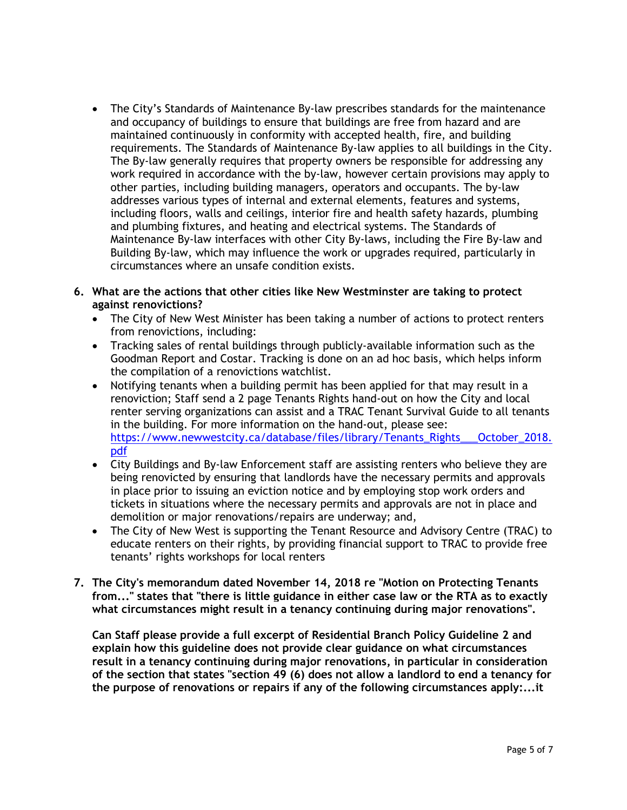- The City's Standards of Maintenance By-law prescribes standards for the maintenance and occupancy of buildings to ensure that buildings are free from hazard and are maintained continuously in conformity with accepted health, fire, and building requirements. The Standards of Maintenance By-law applies to all buildings in the City. The By-law generally requires that property owners be responsible for addressing any work required in accordance with the by-law, however certain provisions may apply to other parties, including building managers, operators and occupants. The by-law addresses various types of internal and external elements, features and systems, including floors, walls and ceilings, interior fire and health safety hazards, plumbing and plumbing fixtures, and heating and electrical systems. The Standards of Maintenance By-law interfaces with other City By-laws, including the Fire By-law and Building By-law, which may influence the work or upgrades required, particularly in circumstances where an unsafe condition exists.
- **6. What are the actions that other cities like New Westminster are taking to protect against renovictions?** 
	- The City of New West Minister has been taking a number of actions to protect renters from renovictions, including:
	- Tracking sales of rental buildings through publicly-available information such as the Goodman Report and Costar. Tracking is done on an ad hoc basis, which helps inform the compilation of a renovictions watchlist.
	- Notifying tenants when a building permit has been applied for that may result in a renoviction; Staff send a 2 page Tenants Rights hand-out on how the City and local renter serving organizations can assist and a TRAC Tenant Survival Guide to all tenants in the building. For more information on the hand-out, please see: [https://www.newwestcity.ca/database/files/library/Tenants\\_Rights\\_\\_\\_October\\_2018.](https://www.newwestcity.ca/database/files/library/Tenants_Rights___October_2018.pdf) [pdf](https://www.newwestcity.ca/database/files/library/Tenants_Rights___October_2018.pdf)
	- City Buildings and By-law Enforcement staff are assisting renters who believe they are being renovicted by ensuring that landlords have the necessary permits and approvals in place prior to issuing an eviction notice and by employing stop work orders and tickets in situations where the necessary permits and approvals are not in place and demolition or major renovations/repairs are underway; and,
	- The City of New West is supporting the Tenant Resource and Advisory Centre (TRAC) to educate renters on their rights, by providing financial support to TRAC to provide free tenants' rights workshops for local renters
- **7. The City's memorandum dated November 14, 2018 re "Motion on Protecting Tenants from..." states that "there is little guidance in either case law or the RTA as to exactly what circumstances might result in a tenancy continuing during major renovations".**

**Can Staff please provide a full excerpt of Residential Branch Policy Guideline 2 and explain how this guideline does not provide clear guidance on what circumstances result in a tenancy continuing during major renovations, in particular in consideration of the section that states "section 49 (6) does not allow a landlord to end a tenancy for the purpose of renovations or repairs if any of the following circumstances apply:...it**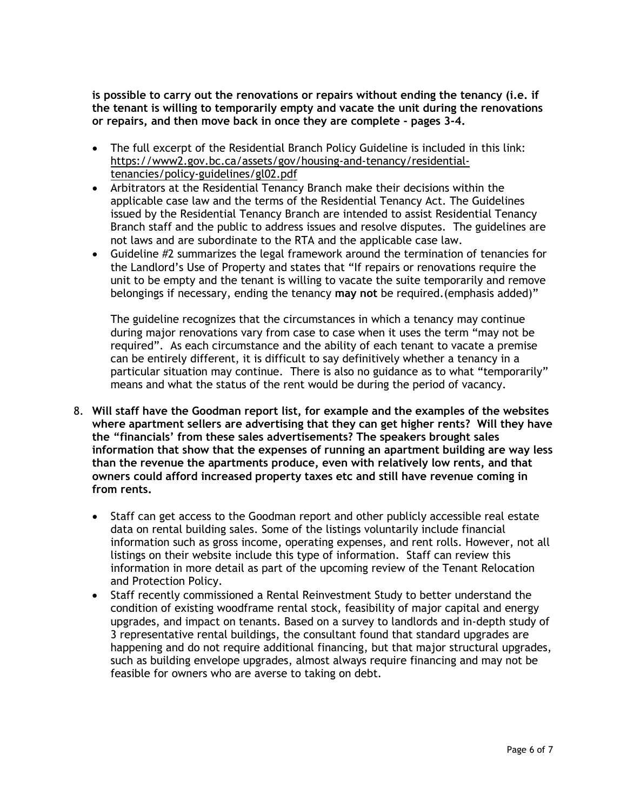**is possible to carry out the renovations or repairs without ending the tenancy (i.e. if the tenant is willing to temporarily empty and vacate the unit during the renovations or repairs, and then move back in once they are complete - pages 3-4.**

- The full excerpt of the Residential Branch Policy Guideline is included in this link: [https://www2.gov.bc.ca/assets/gov/housing-and-tenancy/residential](https://www2.gov.bc.ca/assets/gov/housing-and-tenancy/residential-tenancies/policy-guidelines/gl02.pdf)[tenancies/policy-guidelines/gl02.pdf](https://www2.gov.bc.ca/assets/gov/housing-and-tenancy/residential-tenancies/policy-guidelines/gl02.pdf)
- Arbitrators at the Residential Tenancy Branch make their decisions within the applicable case law and the terms of the Residential Tenancy Act. The Guidelines issued by the Residential Tenancy Branch are intended to assist Residential Tenancy Branch staff and the public to address issues and resolve disputes. The guidelines are not laws and are subordinate to the RTA and the applicable case law.
- Guideline #2 summarizes the legal framework around the termination of tenancies for the Landlord's Use of Property and states that "If repairs or renovations require the unit to be empty and the tenant is willing to vacate the suite temporarily and remove belongings if necessary, ending the tenancy **may not** be required.(emphasis added)"

The guideline recognizes that the circumstances in which a tenancy may continue during major renovations vary from case to case when it uses the term "may not be required". As each circumstance and the ability of each tenant to vacate a premise can be entirely different, it is difficult to say definitively whether a tenancy in a particular situation may continue. There is also no guidance as to what "temporarily" means and what the status of the rent would be during the period of vacancy.

- 8. **Will staff have the Goodman report list, for example and the examples of the websites where apartment sellers are advertising that they can get higher rents? Will they have the "financials' from these sales advertisements? The speakers brought sales information that show that the expenses of running an apartment building are way less than the revenue the apartments produce, even with relatively low rents, and that owners could afford increased property taxes etc and still have revenue coming in from rents.**
	- Staff can get access to the Goodman report and other publicly accessible real estate data on rental building sales. Some of the listings voluntarily include financial information such as gross income, operating expenses, and rent rolls. However, not all listings on their website include this type of information. Staff can review this information in more detail as part of the upcoming review of the Tenant Relocation and Protection Policy.
	- Staff recently commissioned a Rental Reinvestment Study to better understand the condition of existing woodframe rental stock, feasibility of major capital and energy upgrades, and impact on tenants. Based on a survey to landlords and in-depth study of 3 representative rental buildings, the consultant found that standard upgrades are happening and do not require additional financing, but that major structural upgrades, such as building envelope upgrades, almost always require financing and may not be feasible for owners who are averse to taking on debt.